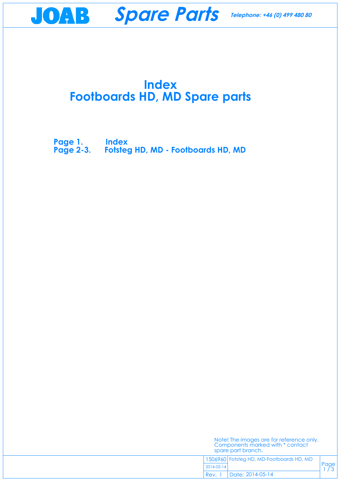## **Index Footboards HD, MD Spare parts**

Page  $1/3$ 

**Page 1. Index [Page 2-3. Fotsteg HD, MD - Footboards HD, MD](#page-1-0)**

JOAB **Spare Parts Telephone: +46 (0) 499 480 80**

| Note! The images are for reference only. |  |
|------------------------------------------|--|
| Components marked with * contact         |  |
| spare part branch.                       |  |
|                                          |  |

1506960 Fotsteg HD, MD-Footboards HD, MD

2014-05-14

Date: 2014-05-14 Rev.  $1$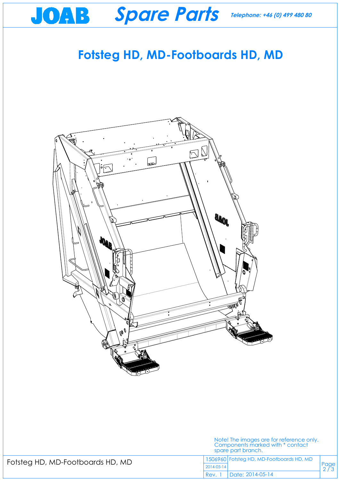## **Fotsteg HD, MD-Footboards HD, MD**

**Spare Parts**

<span id="page-1-0"></span>JOAB